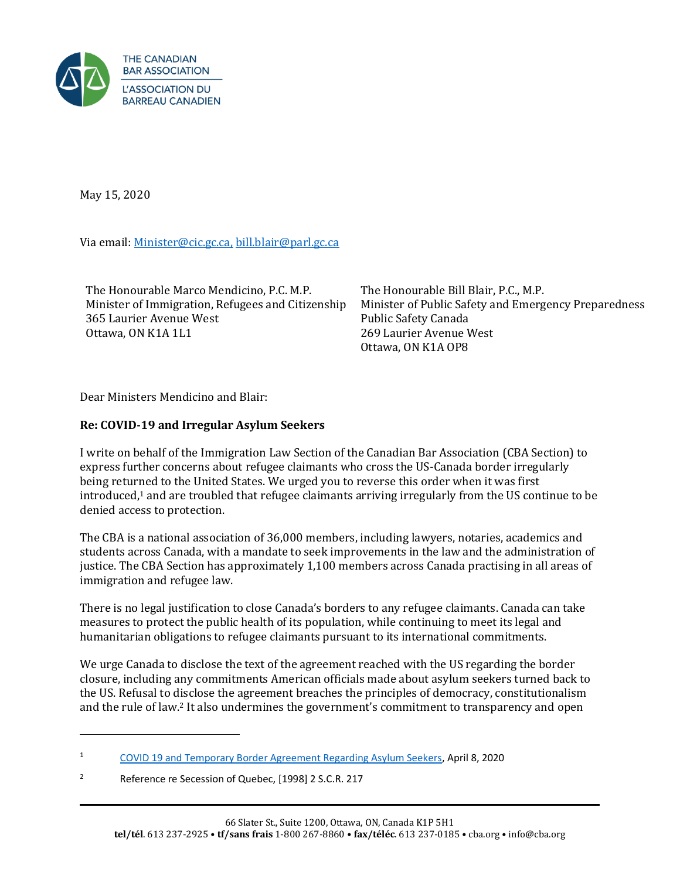

May 15, 2020

Via email[: Minister@cic.gc.ca,](mailto:Minister@cic.gc.ca) [bill.blair@parl.gc.ca](mailto:BILL.BLAIR@PARL.GC.CA)

The Honourable Marco Mendicino, P.C. M.P. Minister of Immigration, Refugees and Citizenship 365 Laurier Avenue West Ottawa, ON K1A 1L1

The Honourable Bill Blair, P.C., M.P. Minister of Public Safety and Emergency Preparedness Public Safety Canada 269 Laurier Avenue West Ottawa, ON K1A OP8

Dear Ministers Mendicino and Blair:

## **Re: COVID-19 and Irregular Asylum Seekers**

I write on behalf of the Immigration Law Section of the Canadian Bar Association (CBA Section) to express further concerns about refugee claimants who cross the US-Canada border irregularly being returned to the United States. We urged you to reverse this order when it was first introduced, <sup>1</sup> and are troubled that refugee claimants arriving irregularly from the US continue to be denied access to protection.

The CBA is a national association of 36,000 members, including lawyers, notaries, academics and students across Canada, with a mandate to seek improvements in the law and the administration of justice. The CBA Section has approximately 1,100 members across Canada practising in all areas of immigration and refugee law.

There is no legal justification to close Canada's borders to any refugee claimants. Canada can take measures to protect the public health of its population, while continuing to meet its legal and humanitarian obligations to refugee claimants pursuant to its international commitments.

We urge Canada to disclose the text of the agreement reached with the US regarding the border closure, including any commitments American officials made about asylum seekers turned back to the US. Refusal to disclose the agreement breaches the principles of democracy, constitutionalism and the rule of law.<sup>2</sup> It also undermines the government's commitment to transparency and open

<sup>1</sup> [COVID 19 and Temporary Border Agreement Regarding Asylum Seekers,](https://www.cba.org/CMSPages/GetFile.aspx?guid=3747cafa-90f3-41a2-a873-8c4219fda5d9) April 8, 2020

<sup>&</sup>lt;sup>2</sup> Reference re Secession of Quebec, [1998] 2 S.C.R. 217